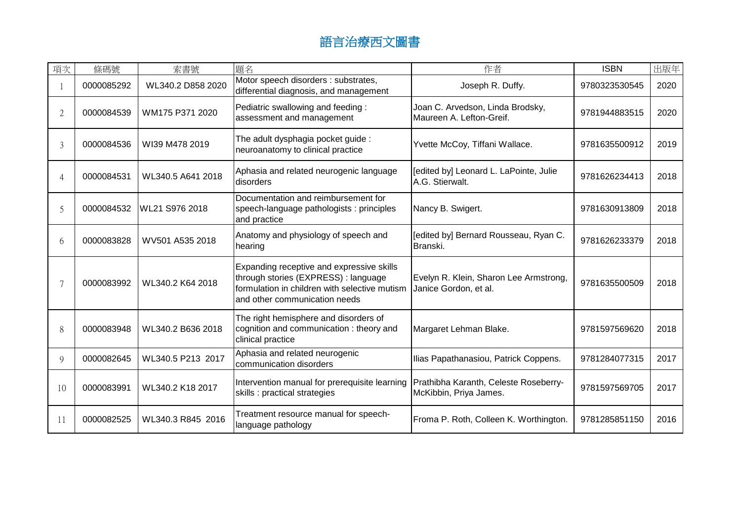| 項次                       | 條碼號        | 索書號               | 題名                                                                                                                                                                  | 作者                                                              | <b>ISBN</b>   | 出版年  |
|--------------------------|------------|-------------------|---------------------------------------------------------------------------------------------------------------------------------------------------------------------|-----------------------------------------------------------------|---------------|------|
|                          | 0000085292 | WL340.2 D858 2020 | Motor speech disorders : substrates,<br>differential diagnosis, and management                                                                                      | Joseph R. Duffy.                                                | 9780323530545 | 2020 |
| $\mathfrak{D}$           | 0000084539 | WM175 P371 2020   | Pediatric swallowing and feeding:<br>assessment and management                                                                                                      | Joan C. Arvedson, Linda Brodsky,<br>Maureen A. Lefton-Greif.    | 9781944883515 | 2020 |
| 3                        | 0000084536 | WI39 M478 2019    | The adult dysphagia pocket guide :<br>neuroanatomy to clinical practice                                                                                             | Yvette McCoy, Tiffani Wallace.                                  | 9781635500912 | 2019 |
|                          | 0000084531 | WL340.5 A641 2018 | Aphasia and related neurogenic language<br>disorders                                                                                                                | [edited by] Leonard L. LaPointe, Julie<br>A.G. Stierwalt.       | 9781626234413 | 2018 |
| $\overline{\mathcal{L}}$ | 0000084532 | WL21 S976 2018    | Documentation and reimbursement for<br>speech-language pathologists : principles<br>and practice                                                                    | Nancy B. Swigert.                                               | 9781630913809 | 2018 |
| 6                        | 0000083828 | WV501 A535 2018   | Anatomy and physiology of speech and<br>hearing                                                                                                                     | [edited by] Bernard Rousseau, Ryan C.<br>Branski.               | 9781626233379 | 2018 |
|                          | 0000083992 | WL340.2 K64 2018  | Expanding receptive and expressive skills<br>through stories (EXPRESS) : language<br>formulation in children with selective mutism<br>and other communication needs | Evelyn R. Klein, Sharon Lee Armstrong,<br>Janice Gordon, et al. | 9781635500509 | 2018 |
| 8                        | 0000083948 | WL340.2 B636 2018 | The right hemisphere and disorders of<br>cognition and communication: theory and<br>clinical practice                                                               | Margaret Lehman Blake.                                          | 9781597569620 | 2018 |
| 9                        | 0000082645 | WL340.5 P213 2017 | Aphasia and related neurogenic<br>communication disorders                                                                                                           | Ilias Papathanasiou, Patrick Coppens.                           | 9781284077315 | 2017 |
| 10                       | 0000083991 | WL340.2 K18 2017  | Intervention manual for prerequisite learning<br>skills : practical strategies                                                                                      | Prathibha Karanth, Celeste Roseberry-<br>McKibbin, Priya James. | 9781597569705 | 2017 |
| 11                       | 0000082525 | WL340.3 R845 2016 | Treatment resource manual for speech-<br>language pathology                                                                                                         | Froma P. Roth, Colleen K. Worthington.                          | 9781285851150 | 2016 |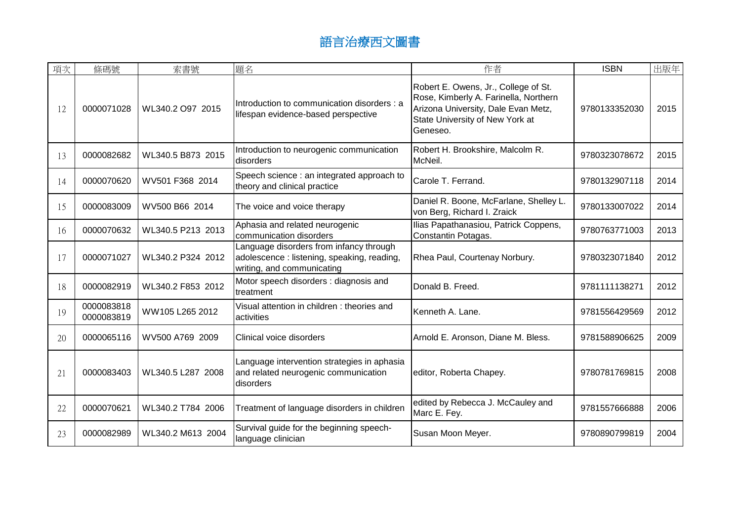| 項次 | 條碼號                      | 索書號               | 題名                                                                                                                   | 作者                                                                                                                                                                  | <b>ISBN</b>   | 出版年  |
|----|--------------------------|-------------------|----------------------------------------------------------------------------------------------------------------------|---------------------------------------------------------------------------------------------------------------------------------------------------------------------|---------------|------|
| 12 | 0000071028               | WL340.2 O97 2015  | Introduction to communication disorders: a<br>lifespan evidence-based perspective                                    | Robert E. Owens, Jr., College of St.<br>Rose, Kimberly A. Farinella, Northern<br>Arizona University, Dale Evan Metz,<br>State University of New York at<br>Geneseo. | 9780133352030 | 2015 |
| 13 | 0000082682               | WL340.5 B873 2015 | Introduction to neurogenic communication<br>disorders                                                                | Robert H. Brookshire, Malcolm R.<br>McNeil.                                                                                                                         | 9780323078672 | 2015 |
| 14 | 0000070620               | WV501 F368 2014   | Speech science : an integrated approach to<br>theory and clinical practice                                           | Carole T. Ferrand.                                                                                                                                                  | 9780132907118 | 2014 |
| 15 | 0000083009               | WV500 B66 2014    | The voice and voice therapy                                                                                          | Daniel R. Boone, McFarlane, Shelley L.<br>von Berg, Richard I. Zraick                                                                                               | 9780133007022 | 2014 |
| 16 | 0000070632               | WL340.5 P213 2013 | Aphasia and related neurogenic<br>communication disorders                                                            | Ilias Papathanasiou, Patrick Coppens,<br>Constantin Potagas.                                                                                                        | 9780763771003 | 2013 |
| 17 | 0000071027               | WL340.2 P324 2012 | Language disorders from infancy through<br>adolescence : listening, speaking, reading,<br>writing, and communicating | Rhea Paul, Courtenay Norbury.                                                                                                                                       | 9780323071840 | 2012 |
| 18 | 0000082919               | WL340.2 F853 2012 | Motor speech disorders : diagnosis and<br>treatment                                                                  | Donald B. Freed.                                                                                                                                                    | 9781111138271 | 2012 |
| 19 | 0000083818<br>0000083819 | WW105 L265 2012   | Visual attention in children: theories and<br>activities                                                             | Kenneth A. Lane.                                                                                                                                                    | 9781556429569 | 2012 |
| 20 | 0000065116               | WV500 A769 2009   | Clinical voice disorders                                                                                             | Arnold E. Aronson, Diane M. Bless.                                                                                                                                  | 9781588906625 | 2009 |
| 21 | 0000083403               | WL340.5 L287 2008 | Language intervention strategies in aphasia<br>and related neurogenic communication<br>disorders                     | editor, Roberta Chapey.                                                                                                                                             | 9780781769815 | 2008 |
| 22 | 0000070621               | WL340.2 T784 2006 | Treatment of language disorders in children                                                                          | edited by Rebecca J. McCauley and<br>Marc E. Fey.                                                                                                                   | 9781557666888 | 2006 |
| 23 | 0000082989               | WL340.2 M613 2004 | Survival guide for the beginning speech-<br>language clinician                                                       | Susan Moon Meyer.                                                                                                                                                   | 9780890799819 | 2004 |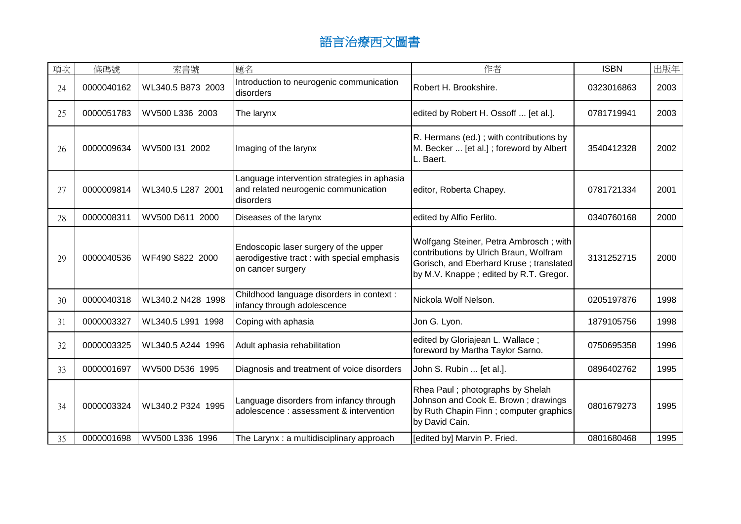| 項次 | 條碼號        | 索書號               | 題名                                                                                                       | 作者                                                                                                                                                                    | <b>ISBN</b> | 出版年  |
|----|------------|-------------------|----------------------------------------------------------------------------------------------------------|-----------------------------------------------------------------------------------------------------------------------------------------------------------------------|-------------|------|
| 24 | 0000040162 | WL340.5 B873 2003 | Introduction to neurogenic communication<br>disorders                                                    | Robert H. Brookshire.                                                                                                                                                 | 0323016863  | 2003 |
| 25 | 0000051783 | WV500 L336 2003   | The larynx                                                                                               | edited by Robert H. Ossoff  [et al.].                                                                                                                                 | 0781719941  | 2003 |
| 26 | 0000009634 | WV500 I31 2002    | Imaging of the larynx                                                                                    | R. Hermans (ed.); with contributions by<br>M. Becker  [et al.]; foreword by Albert<br>L. Baert.                                                                       | 3540412328  | 2002 |
| 27 | 0000009814 | WL340.5 L287 2001 | Language intervention strategies in aphasia<br>and related neurogenic communication<br>disorders         | editor, Roberta Chapey.                                                                                                                                               | 0781721334  | 2001 |
| 28 | 0000008311 | WV500 D611 2000   | Diseases of the larynx                                                                                   | edited by Alfio Ferlito.                                                                                                                                              | 0340760168  | 2000 |
| 29 | 0000040536 | WF490 S822 2000   | Endoscopic laser surgery of the upper<br>aerodigestive tract: with special emphasis<br>on cancer surgery | Wolfgang Steiner, Petra Ambrosch; with<br>contributions by Ulrich Braun, Wolfram<br>Gorisch, and Eberhard Kruse; translated<br>by M.V. Knappe; edited by R.T. Gregor. | 3131252715  | 2000 |
| 30 | 0000040318 | WL340.2 N428 1998 | Childhood language disorders in context :<br>infancy through adolescence                                 | Nickola Wolf Nelson.                                                                                                                                                  | 0205197876  | 1998 |
| 31 | 0000003327 | WL340.5 L991 1998 | Coping with aphasia                                                                                      | Jon G. Lyon.                                                                                                                                                          | 1879105756  | 1998 |
| 32 | 0000003325 | WL340.5 A244 1996 | Adult aphasia rehabilitation                                                                             | edited by Gloriajean L. Wallace;<br>foreword by Martha Taylor Sarno.                                                                                                  | 0750695358  | 1996 |
| 33 | 0000001697 | WV500 D536 1995   | Diagnosis and treatment of voice disorders                                                               | John S. Rubin  [et al.].                                                                                                                                              | 0896402762  | 1995 |
| 34 | 0000003324 | WL340.2 P324 1995 | Language disorders from infancy through<br>adolescence : assessment & intervention                       | Rhea Paul; photographs by Shelah<br>Johnson and Cook E. Brown; drawings<br>by Ruth Chapin Finn; computer graphics<br>by David Cain.                                   | 0801679273  | 1995 |
| 35 | 0000001698 | WV500 L336 1996   | The Larynx: a multidisciplinary approach                                                                 | [edited by] Marvin P. Fried.                                                                                                                                          | 0801680468  | 1995 |